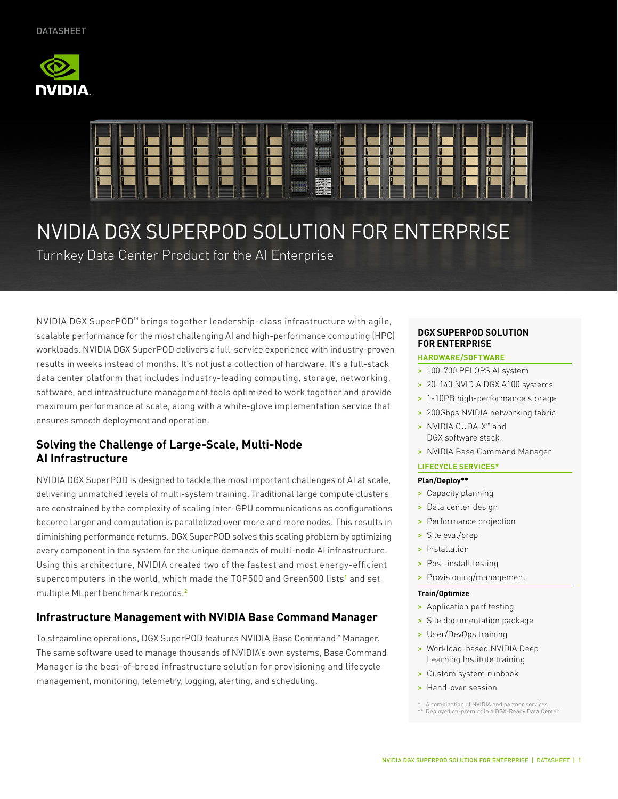



# NVIDIA DGX SUPERPOD SOLUTION FOR ENTERPRISE

Turnkey Data Center Product for the AI Enterprise

NVIDIA DGX SuperPOD™ brings together leadership-class infrastructure with agile, scalable performance for the most challenging AI and high-performance computing (HPC) workloads. NVIDIA DGX SuperPOD delivers a full-service experience with industry-proven results in weeks instead of months. It's not just a collection of hardware. It's a full-stack data center platform that includes industry-leading computing, storage, networking, software, and infrastructure management tools optimized to work together and provide maximum performance at scale, along with a white-glove implementation service that ensures smooth deployment and operation.

# **Solving the Challenge of Large-Scale, Multi-Node AI Infrastructure**

NVIDIA DGX SuperPOD is designed to tackle the most important challenges of AI at scale, delivering unmatched levels of multi-system training. Traditional large compute clusters are constrained by the complexity of scaling inter-GPU communications as configurations become larger and computation is parallelized over more and more nodes. This results in diminishing performance returns. DGX SuperPOD solves this scaling problem by optimizing every component in the system for the unique demands of multi-node AI infrastructure. Using this architecture, NVIDIA created two of the fastest and most energy-efficient supercomputers in the world, which made the TOP500 and Green500 lists**[1](https://www.top500.org/)** and set multiple MLperf benchmark records.**[2](https://mlperf.org/)**

## **Infrastructure Management with NVIDIA Base Command Manager**

To streamline operations, DGX SuperPOD features NVIDIA Base Command™ Manager. The same software used to manage thousands of NVIDIA's own systems, Base Command Manager is the best-of-breed infrastructure solution for provisioning and lifecycle management, monitoring, telemetry, logging, alerting, and scheduling.

## **DGX SUPERPOD SOLUTION FOR ENTERPRISE**

### **HARDWARE/SOFTWARE**

- > 100-700 PFLOPS AI system
- > 20-140 NVIDIA DGX A100 systems
- > 1-10PB high-performance storage
- > 200Gbps NVIDIA networking fabric
- > NVIDIA CUDA-X™ and DGX software stack
- > NVIDIA Base Command Manager
- **LIFECYCLE SERVICES\***

#### **Plan/Deploy\*\***

- > Capacity planning
- > Data center design
- > Performance projection
- > Site eval/prep
- > Installation
- > Post-install testing
- > Provisioning/management

#### **Train/Optimize**

- > Application perf testing
- > Site documentation package
- > User/DevOps training
- > Workload-based NVIDIA Deep Learning Institute training
- > Custom system runbook
- > Hand-over session

<sup>\*</sup> A combination of NVIDIA and partner services \*\* Deployed on-prem or in a DGX-Ready Data Center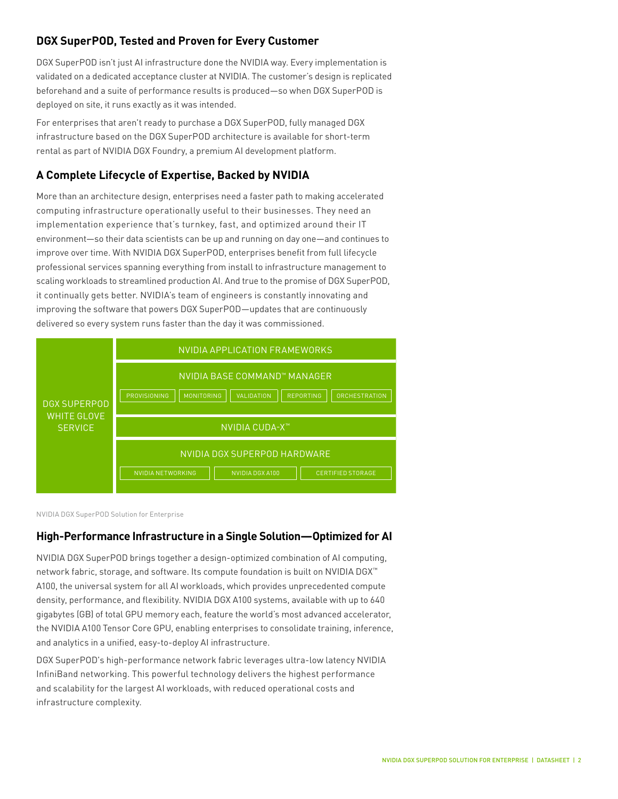# **DGX SuperPOD, Tested and Proven for Every Customer**

DGX SuperPOD isn't just AI infrastructure done the NVIDIA way. Every implementation is validated on a dedicated acceptance cluster at NVIDIA. The customer's design is replicated beforehand and a suite of performance results is produced—so when DGX SuperPOD is deployed on site, it runs exactly as it was intended.

For enterprises that aren't ready to purchase a DGX SuperPOD, fully managed DGX infrastructure based on the DGX SuperPOD architecture is available for short-term rental as part of NVIDIA DGX Foundry, a premium AI development platform.

## **A Complete Lifecycle of Expertise, Backed by NVIDIA**

More than an architecture design, enterprises need a faster path to making accelerated computing infrastructure operationally useful to their businesses. They need an implementation experience that's turnkey, fast, and optimized around their IT environment—so their data scientists can be up and running on day one—and continues to improve over time. With NVIDIA DGX SuperPOD, enterprises benefit from full lifecycle professional services spanning everything from install to infrastructure management to scaling workloads to streamlined production AI. And true to the promise of DGX SuperPOD, it continually gets better. NVIDIA's team of engineers is constantly innovating and improving the software that powers DGX SuperPOD—updates that are continuously delivered so every system runs faster than the day it was commissioned.



NVIDIA DGX SuperPOD Solution for Enterprise

## **High-Performance Infrastructure in a Single Solution—Optimized for AI**

NVIDIA DGX SuperPOD brings together a design-optimized combination of AI computing, network fabric, storage, and software. Its compute foundation is built on NVIDIA DGX™ A100, the universal system for all AI workloads, which provides unprecedented compute density, performance, and flexibility. NVIDIA DGX A100 systems, available with up to 640 gigabytes (GB) of total GPU memory each, feature the world's most advanced accelerator, the NVIDIA A100 Tensor Core GPU, enabling enterprises to consolidate training, inference, and analytics in a unified, easy-to-deploy AI infrastructure.

DGX SuperPOD's high-performance network fabric leverages ultra-low latency NVIDIA InfiniBand networking. This powerful technology delivers the highest performance and scalability for the largest AI workloads, with reduced operational costs and infrastructure complexity.